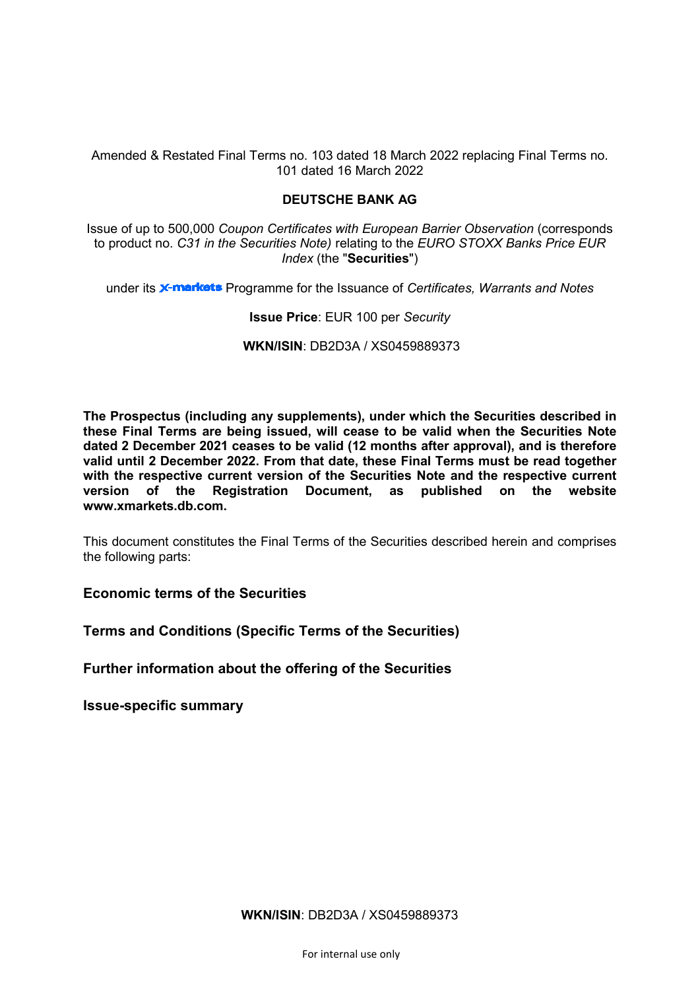Amended & Restated Final Terms no. 103 dated 18 March 2022 replacing Final Terms no. 101 dated 16 March 2022

# **DEUTSCHE BANK AG**

Issue of up to 500,000 *Coupon Certificates with European Barrier Observation* (corresponds to product no. *C31 in the Securities Note)* relating to the *EURO STOXX Banks Price EUR Index* (the "**Securities**")

under its **X-markets** Programme for the Issuance of *Certificates, Warrants and Notes* 

# **Issue Price**: EUR 100 per *Security*

**WKN/ISIN**: DB2D3A / XS0459889373

**The Prospectus (including any supplements), under which the Securities described in these Final Terms are being issued, will cease to be valid when the Securities Note dated 2 December 2021 ceases to be valid (12 months after approval), and is therefore valid until 2 December 2022. From that date, these Final Terms must be read together with the respective current version of the Securities Note and the respective current version of the Registration Document, as published on the website www.xmarkets.db.com.**

This document constitutes the Final Terms of the Securities described herein and comprises the following parts:

**Economic terms of the Securities**

**Terms and Conditions (Specific Terms of the Securities)**

**Further information about the offering of the Securities**

**Issue-specific summary**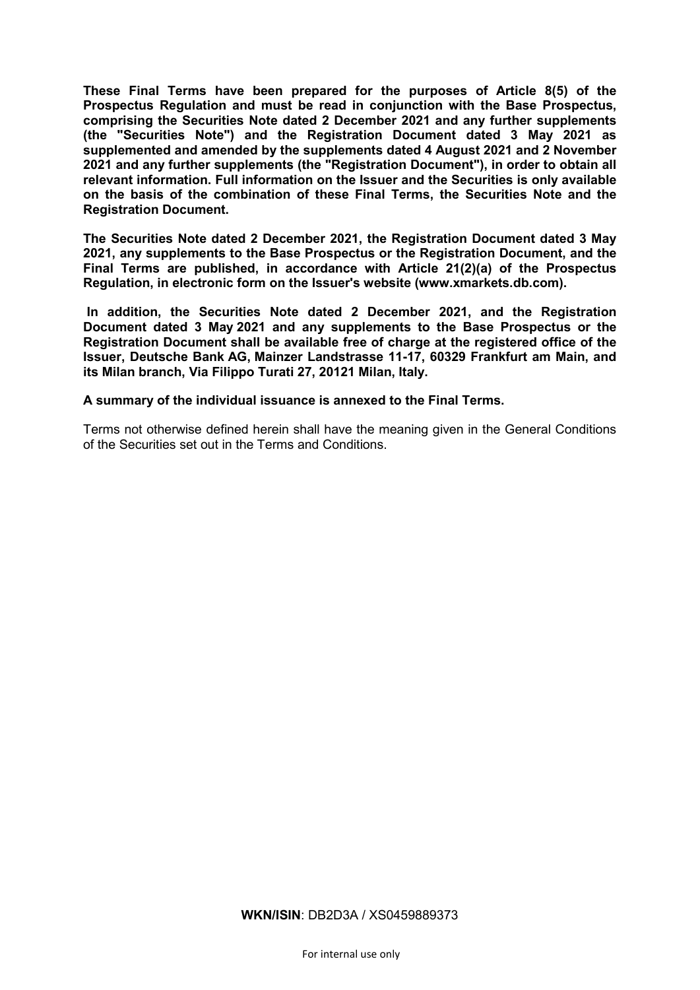**These Final Terms have been prepared for the purposes of Article 8(5) of the Prospectus Regulation and must be read in conjunction with the Base Prospectus, comprising the Securities Note dated 2 December 2021 and any further supplements (the "Securities Note") and the Registration Document dated 3 May 2021 as supplemented and amended by the supplements dated 4 August 2021 and 2 November 2021 and any further supplements (the "Registration Document"), in order to obtain all relevant information. Full information on the Issuer and the Securities is only available on the basis of the combination of these Final Terms, the Securities Note and the Registration Document.** 

**The Securities Note dated 2 December 2021, the Registration Document dated 3 May 2021, any supplements to the Base Prospectus or the Registration Document, and the Final Terms are published, in accordance with Article 21(2)(a) of the Prospectus Regulation, in electronic form on the Issuer's website [\(www.xmarkets.db.com\)](http://www.xmarkets.db.com/).**

**In addition, the Securities Note dated 2 December 2021, and the Registration Document dated 3 May 2021 and any supplements to the Base Prospectus or the Registration Document shall be available free of charge at the registered office of the Issuer, Deutsche Bank AG, Mainzer Landstrasse 11-17, 60329 Frankfurt am Main, and its Milan branch, Via Filippo Turati 27, 20121 Milan, Italy.**

**A summary of the individual issuance is annexed to the Final Terms.**

Terms not otherwise defined herein shall have the meaning given in the General Conditions of the Securities set out in the Terms and Conditions.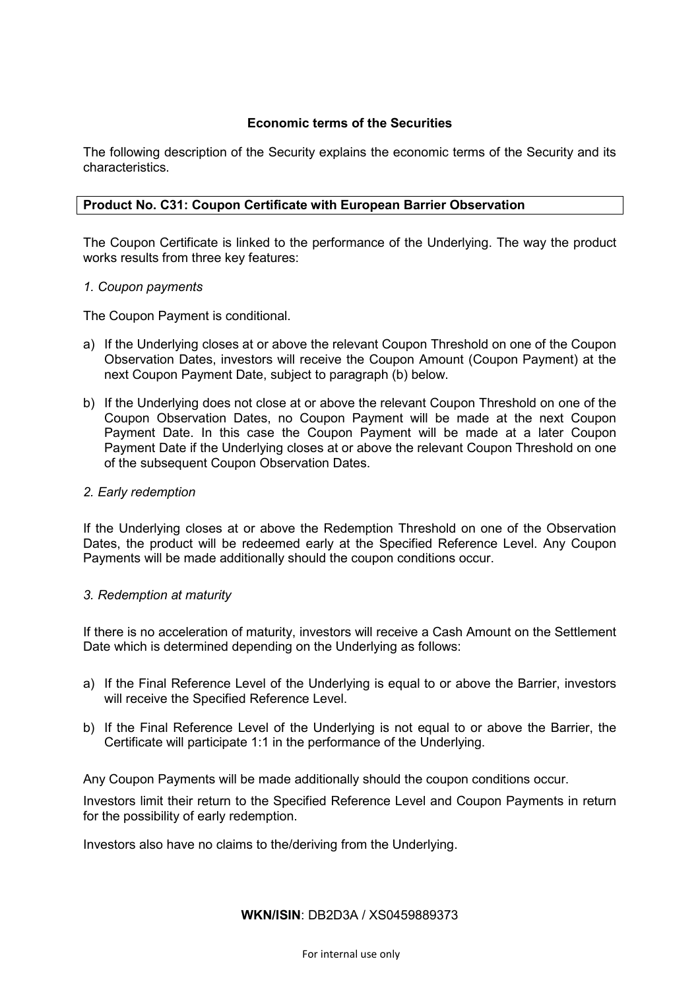# **Economic terms of the Securities**

The following description of the Security explains the economic terms of the Security and its characteristics.

# **Product No. C31: Coupon Certificate with European Barrier Observation**

The Coupon Certificate is linked to the performance of the Underlying. The way the product works results from three key features:

# *1. Coupon payments*

The Coupon Payment is conditional.

- a) If the Underlying closes at or above the relevant Coupon Threshold on one of the Coupon Observation Dates, investors will receive the Coupon Amount (Coupon Payment) at the next Coupon Payment Date, subject to paragraph (b) below.
- b) If the Underlying does not close at or above the relevant Coupon Threshold on one of the Coupon Observation Dates, no Coupon Payment will be made at the next Coupon Payment Date. In this case the Coupon Payment will be made at a later Coupon Payment Date if the Underlying closes at or above the relevant Coupon Threshold on one of the subsequent Coupon Observation Dates.

# *2. Early redemption*

If the Underlying closes at or above the Redemption Threshold on one of the Observation Dates, the product will be redeemed early at the Specified Reference Level. Any Coupon Payments will be made additionally should the coupon conditions occur.

# *3. Redemption at maturity*

If there is no acceleration of maturity, investors will receive a Cash Amount on the Settlement Date which is determined depending on the Underlying as follows:

- a) If the Final Reference Level of the Underlying is equal to or above the Barrier, investors will receive the Specified Reference Level.
- b) If the Final Reference Level of the Underlying is not equal to or above the Barrier, the Certificate will participate 1:1 in the performance of the Underlying.

Any Coupon Payments will be made additionally should the coupon conditions occur.

Investors limit their return to the Specified Reference Level and Coupon Payments in return for the possibility of early redemption.

Investors also have no claims to the/deriving from the Underlying.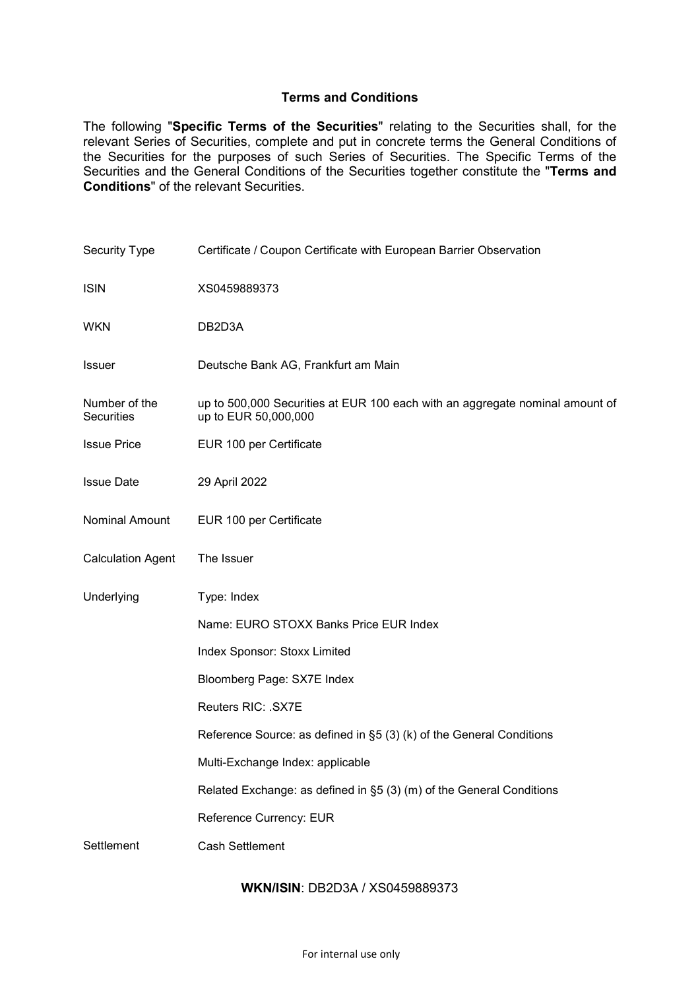# **Terms and Conditions**

The following "**Specific Terms of the Securities**" relating to the Securities shall, for the relevant Series of Securities, complete and put in concrete terms the General Conditions of the Securities for the purposes of such Series of Securities. The Specific Terms of the Securities and the General Conditions of the Securities together constitute the "**Terms and Conditions**" of the relevant Securities.

| <b>Security Type</b>        | Certificate / Coupon Certificate with European Barrier Observation                                   |  |  |
|-----------------------------|------------------------------------------------------------------------------------------------------|--|--|
| <b>ISIN</b>                 | XS0459889373                                                                                         |  |  |
| WKN                         | DB2D3A                                                                                               |  |  |
| <b>Issuer</b>               | Deutsche Bank AG, Frankfurt am Main                                                                  |  |  |
| Number of the<br>Securities | up to 500,000 Securities at EUR 100 each with an aggregate nominal amount of<br>up to EUR 50,000,000 |  |  |
| <b>Issue Price</b>          | EUR 100 per Certificate                                                                              |  |  |
| <b>Issue Date</b>           | 29 April 2022                                                                                        |  |  |
| Nominal Amount              | EUR 100 per Certificate                                                                              |  |  |
| <b>Calculation Agent</b>    | The Issuer                                                                                           |  |  |
| Underlying                  | Type: Index                                                                                          |  |  |
|                             | Name: EURO STOXX Banks Price EUR Index                                                               |  |  |
|                             | Index Sponsor: Stoxx Limited                                                                         |  |  |
|                             | Bloomberg Page: SX7E Index                                                                           |  |  |
|                             | Reuters RIC: . SX7E                                                                                  |  |  |
|                             | Reference Source: as defined in §5 (3) (k) of the General Conditions                                 |  |  |
|                             | Multi-Exchange Index: applicable                                                                     |  |  |
|                             | Related Exchange: as defined in §5 (3) (m) of the General Conditions                                 |  |  |
|                             | Reference Currency: EUR                                                                              |  |  |
| Settlement                  | <b>Cash Settlement</b>                                                                               |  |  |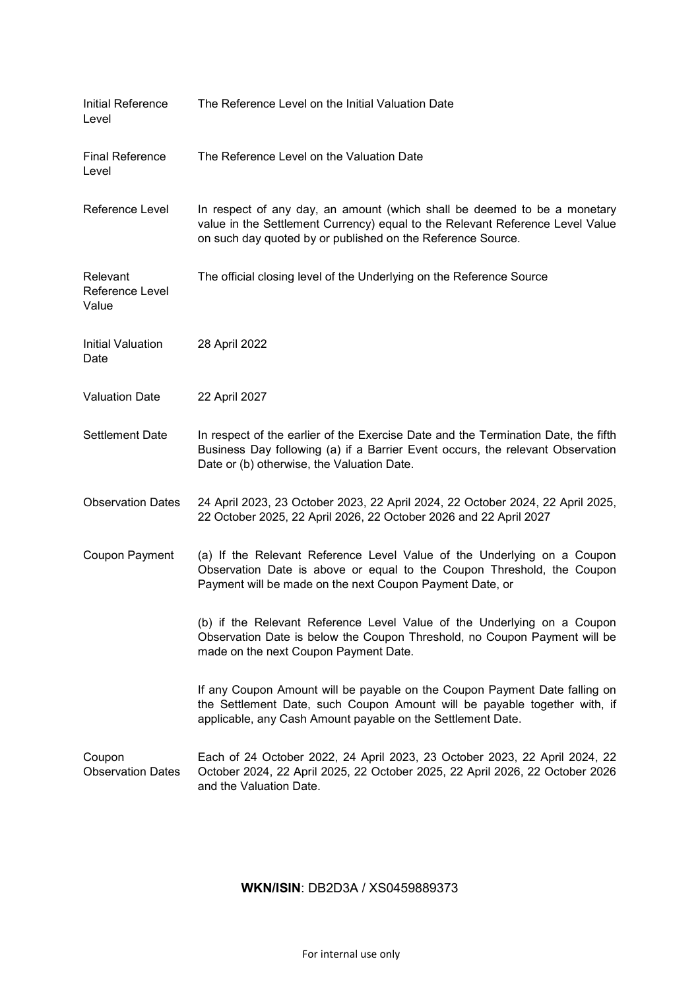| Initial Reference<br>Level           | The Reference Level on the Initial Valuation Date                                                                                                                                                                        |
|--------------------------------------|--------------------------------------------------------------------------------------------------------------------------------------------------------------------------------------------------------------------------|
| <b>Final Reference</b><br>Level      | The Reference Level on the Valuation Date                                                                                                                                                                                |
| Reference Level                      | In respect of any day, an amount (which shall be deemed to be a monetary<br>value in the Settlement Currency) equal to the Relevant Reference Level Value<br>on such day quoted by or published on the Reference Source. |
| Relevant<br>Reference Level<br>Value | The official closing level of the Underlying on the Reference Source                                                                                                                                                     |
| Initial Valuation<br>Date            | 28 April 2022                                                                                                                                                                                                            |
| <b>Valuation Date</b>                | 22 April 2027                                                                                                                                                                                                            |
| <b>Settlement Date</b>               | In respect of the earlier of the Exercise Date and the Termination Date, the fifth<br>Business Day following (a) if a Barrier Event occurs, the relevant Observation<br>Date or (b) otherwise, the Valuation Date.       |
| <b>Observation Dates</b>             | 24 April 2023, 23 October 2023, 22 April 2024, 22 October 2024, 22 April 2025,<br>22 October 2025, 22 April 2026, 22 October 2026 and 22 April 2027                                                                      |
| Coupon Payment                       | (a) If the Relevant Reference Level Value of the Underlying on a Coupon<br>Observation Date is above or equal to the Coupon Threshold, the Coupon<br>Payment will be made on the next Coupon Payment Date, or            |
|                                      | (b) if the Relevant Reference Level Value of the Underlying on a Coupon<br>Observation Date is below the Coupon Threshold, no Coupon Payment will be<br>made on the next Coupon Payment Date.                            |
|                                      | If any Coupon Amount will be payable on the Coupon Payment Date falling on<br>the Settlement Date, such Coupon Amount will be payable together with, if<br>applicable, any Cash Amount payable on the Settlement Date.   |
| Coupon<br><b>Observation Dates</b>   | Each of 24 October 2022, 24 April 2023, 23 October 2023, 22 April 2024, 22<br>October 2024, 22 April 2025, 22 October 2025, 22 April 2026, 22 October 2026<br>and the Valuation Date.                                    |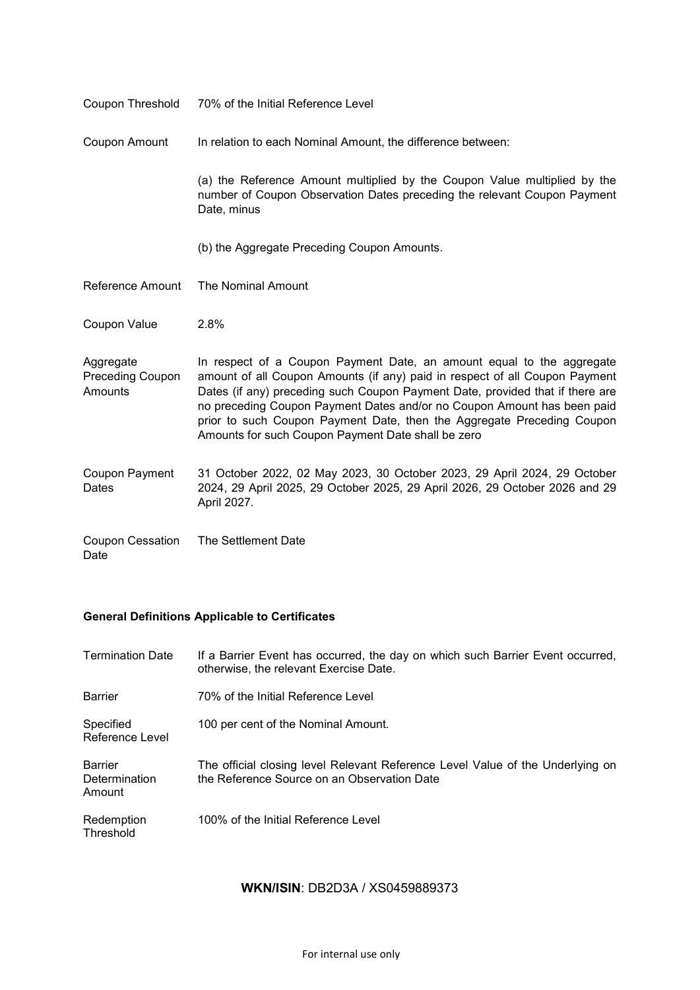| Coupon Threshold                                | 70% of the Initial Reference Level                                                                                                                                                                                                                                                                                                                                                                                                               |  |  |
|-------------------------------------------------|--------------------------------------------------------------------------------------------------------------------------------------------------------------------------------------------------------------------------------------------------------------------------------------------------------------------------------------------------------------------------------------------------------------------------------------------------|--|--|
| Coupon Amount                                   | In relation to each Nominal Amount, the difference between:                                                                                                                                                                                                                                                                                                                                                                                      |  |  |
|                                                 | (a) the Reference Amount multiplied by the Coupon Value multiplied by the<br>number of Coupon Observation Dates preceding the relevant Coupon Payment<br>Date, minus                                                                                                                                                                                                                                                                             |  |  |
|                                                 | (b) the Aggregate Preceding Coupon Amounts.                                                                                                                                                                                                                                                                                                                                                                                                      |  |  |
| Reference Amount                                | The Nominal Amount                                                                                                                                                                                                                                                                                                                                                                                                                               |  |  |
| Coupon Value                                    | 2.8%                                                                                                                                                                                                                                                                                                                                                                                                                                             |  |  |
| Aggregate<br><b>Preceding Coupon</b><br>Amounts | In respect of a Coupon Payment Date, an amount equal to the aggregate<br>amount of all Coupon Amounts (if any) paid in respect of all Coupon Payment<br>Dates (if any) preceding such Coupon Payment Date, provided that if there are<br>no preceding Coupon Payment Dates and/or no Coupon Amount has been paid<br>prior to such Coupon Payment Date, then the Aggregate Preceding Coupon<br>Amounts for such Coupon Payment Date shall be zero |  |  |
| Coupon Payment<br>Dates                         | 31 October 2022, 02 May 2023, 30 October 2023, 29 April 2024, 29 October<br>2024, 29 April 2025, 29 October 2025, 29 April 2026, 29 October 2026 and 29<br>April 2027.                                                                                                                                                                                                                                                                           |  |  |
| Coupon Cessation<br>Date                        | The Settlement Date                                                                                                                                                                                                                                                                                                                                                                                                                              |  |  |

# **General Definitions Applicable to Certificates**

| <b>Termination Date</b>                   | If a Barrier Event has occurred, the day on which such Barrier Event occurred,<br>otherwise, the relevant Exercise Date.      |
|-------------------------------------------|-------------------------------------------------------------------------------------------------------------------------------|
| <b>Barrier</b>                            | 70% of the Initial Reference Level                                                                                            |
| Specified<br>Reference Level              | 100 per cent of the Nominal Amount.                                                                                           |
| <b>Barrier</b><br>Determination<br>Amount | The official closing level Relevant Reference Level Value of the Underlying on<br>the Reference Source on an Observation Date |
| Redemption<br>Threshold                   | 100% of the Initial Reference Level                                                                                           |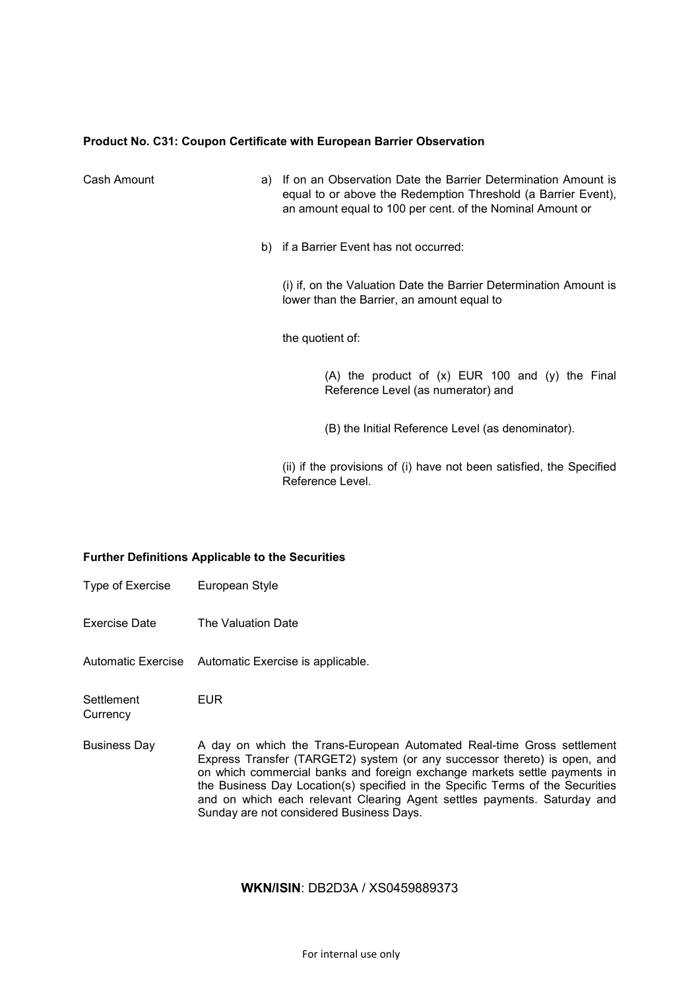## **Product No. C31: Coupon Certificate with European Barrier Observation**

| Cash Amount | a) If on an Observation Date the Barrier Determination Amount is<br>equal to or above the Redemption Threshold (a Barrier Event),<br>an amount equal to 100 per cent. of the Nominal Amount or |
|-------------|------------------------------------------------------------------------------------------------------------------------------------------------------------------------------------------------|
|             | b) if a Barrier Event has not occurred:                                                                                                                                                        |
|             | (i) if, on the Valuation Date the Barrier Determination Amount is<br>lower than the Barrier, an amount equal to                                                                                |
|             | the quotient of:                                                                                                                                                                               |
|             | (A) the product of $(x)$ EUR 100 and $(y)$ the Final<br>Reference Level (as numerator) and                                                                                                     |
|             | (B) the Initial Reference Level (as denominator).                                                                                                                                              |
|             | (ii) if the provisions of (i) have not been satisfied, the Specified                                                                                                                           |

Reference Level.

## **Further Definitions Applicable to the Securities**

- Type of Exercise European Style
- Exercise Date The Valuation Date

Automatic Exercise Automatic Exercise is applicable.

**Settlement Currency** EUR

Business Day A day on which the Trans-European Automated Real-time Gross settlement Express Transfer (TARGET2) system (or any successor thereto) is open, and on which commercial banks and foreign exchange markets settle payments in the Business Day Location(s) specified in the Specific Terms of the Securities and on which each relevant Clearing Agent settles payments. Saturday and Sunday are not considered Business Days.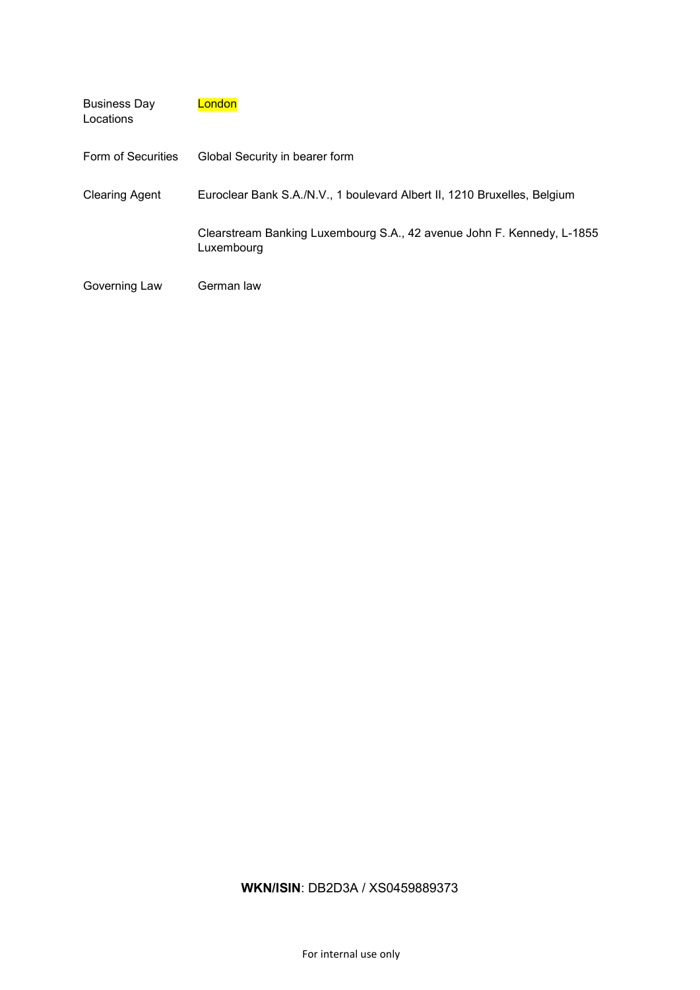| <b>Business Day</b><br>Locations | London                                                                               |
|----------------------------------|--------------------------------------------------------------------------------------|
| Form of Securities               | Global Security in bearer form                                                       |
| <b>Clearing Agent</b>            | Euroclear Bank S.A./N.V., 1 boulevard Albert II, 1210 Bruxelles, Belgium             |
|                                  | Clearstream Banking Luxembourg S.A., 42 avenue John F. Kennedy, L-1855<br>Luxembourg |
| Governing Law                    | German law                                                                           |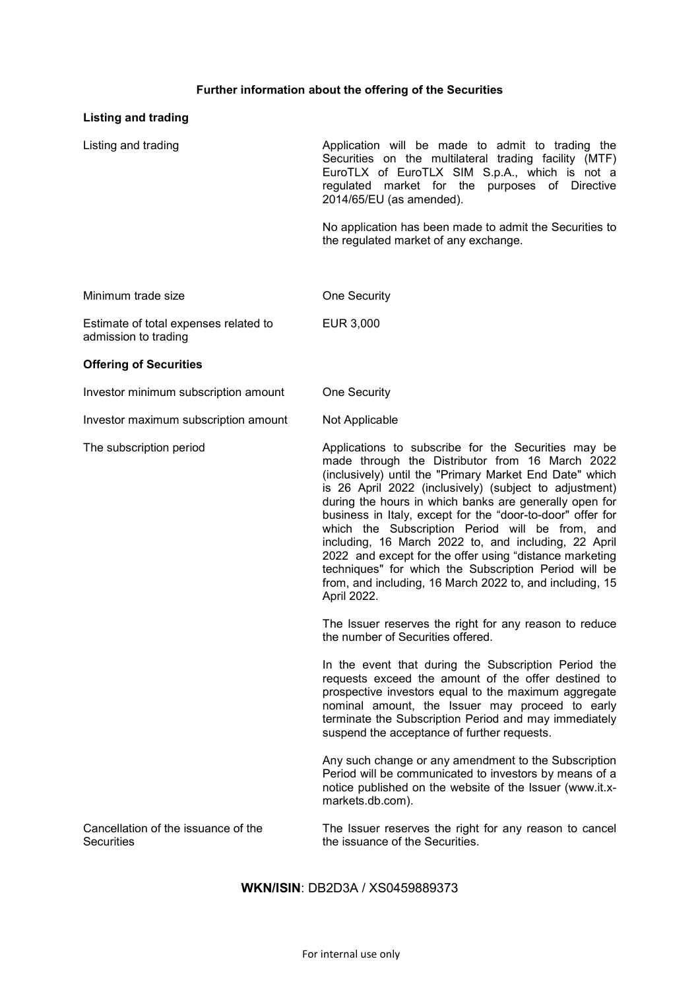# **Further information about the offering of the Securities**

# **Listing and trading**

| Listing and trading                                           | Application will be made to admit to trading the<br>Securities on the multilateral trading facility (MTF)<br>EuroTLX of EuroTLX SIM S.p.A., which is not a<br>regulated market for the purposes of Directive<br>2014/65/EU (as amended).                                                                                                                                                                                                                                                                                                                                                                                                                      |  |  |
|---------------------------------------------------------------|---------------------------------------------------------------------------------------------------------------------------------------------------------------------------------------------------------------------------------------------------------------------------------------------------------------------------------------------------------------------------------------------------------------------------------------------------------------------------------------------------------------------------------------------------------------------------------------------------------------------------------------------------------------|--|--|
|                                                               | No application has been made to admit the Securities to<br>the regulated market of any exchange.                                                                                                                                                                                                                                                                                                                                                                                                                                                                                                                                                              |  |  |
| Minimum trade size                                            | <b>One Security</b>                                                                                                                                                                                                                                                                                                                                                                                                                                                                                                                                                                                                                                           |  |  |
| Estimate of total expenses related to<br>admission to trading | EUR 3,000                                                                                                                                                                                                                                                                                                                                                                                                                                                                                                                                                                                                                                                     |  |  |
| <b>Offering of Securities</b>                                 |                                                                                                                                                                                                                                                                                                                                                                                                                                                                                                                                                                                                                                                               |  |  |
| Investor minimum subscription amount                          | One Security                                                                                                                                                                                                                                                                                                                                                                                                                                                                                                                                                                                                                                                  |  |  |
| Investor maximum subscription amount                          | Not Applicable                                                                                                                                                                                                                                                                                                                                                                                                                                                                                                                                                                                                                                                |  |  |
| The subscription period                                       | Applications to subscribe for the Securities may be<br>made through the Distributor from 16 March 2022<br>(inclusively) until the "Primary Market End Date" which<br>is 26 April 2022 (inclusively) (subject to adjustment)<br>during the hours in which banks are generally open for<br>business in Italy, except for the "door-to-door" offer for<br>which the Subscription Period will be from, and<br>including, 16 March 2022 to, and including, 22 April<br>2022 and except for the offer using "distance marketing<br>techniques" for which the Subscription Period will be<br>from, and including, 16 March 2022 to, and including, 15<br>April 2022. |  |  |
|                                                               | The Issuer reserves the right for any reason to reduce<br>the number of Securities offered.                                                                                                                                                                                                                                                                                                                                                                                                                                                                                                                                                                   |  |  |
|                                                               | In the event that during the Subscription Period the<br>requests exceed the amount of the offer destined to<br>prospective investors equal to the maximum aggregate<br>nominal amount, the Issuer may proceed to early<br>terminate the Subscription Period and may immediately<br>suspend the acceptance of further requests.                                                                                                                                                                                                                                                                                                                                |  |  |
|                                                               | Any such change or any amendment to the Subscription<br>Period will be communicated to investors by means of a<br>notice published on the website of the Issuer (www.it.x-<br>markets.db.com).                                                                                                                                                                                                                                                                                                                                                                                                                                                                |  |  |
| Cancellation of the issuance of the<br>Securities             | The Issuer reserves the right for any reason to cancel<br>the issuance of the Securities.                                                                                                                                                                                                                                                                                                                                                                                                                                                                                                                                                                     |  |  |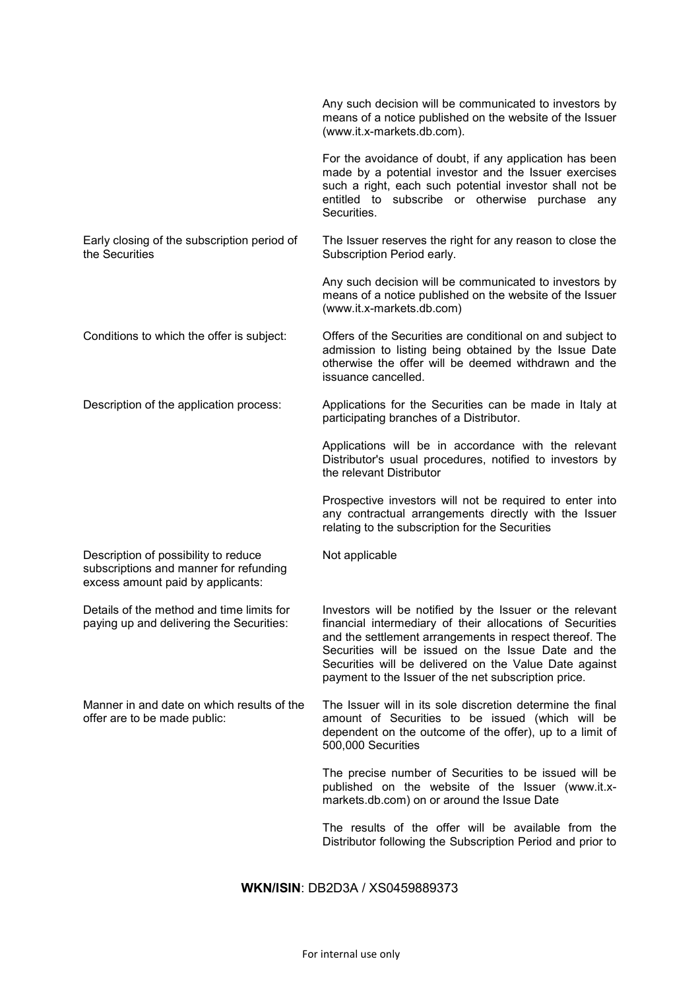|                                                                                                                     | Any such decision will be communicated to investors by<br>means of a notice published on the website of the Issuer<br>(www.it.x-markets.db.com).                                                                                                                                                                                                          |
|---------------------------------------------------------------------------------------------------------------------|-----------------------------------------------------------------------------------------------------------------------------------------------------------------------------------------------------------------------------------------------------------------------------------------------------------------------------------------------------------|
|                                                                                                                     | For the avoidance of doubt, if any application has been<br>made by a potential investor and the Issuer exercises<br>such a right, each such potential investor shall not be<br>entitled to subscribe or otherwise purchase<br>any<br>Securities.                                                                                                          |
| Early closing of the subscription period of<br>the Securities                                                       | The Issuer reserves the right for any reason to close the<br>Subscription Period early.                                                                                                                                                                                                                                                                   |
|                                                                                                                     | Any such decision will be communicated to investors by<br>means of a notice published on the website of the Issuer<br>(www.it.x-markets.db.com)                                                                                                                                                                                                           |
| Conditions to which the offer is subject:                                                                           | Offers of the Securities are conditional on and subject to<br>admission to listing being obtained by the Issue Date<br>otherwise the offer will be deemed withdrawn and the<br>issuance cancelled.                                                                                                                                                        |
| Description of the application process:                                                                             | Applications for the Securities can be made in Italy at<br>participating branches of a Distributor.                                                                                                                                                                                                                                                       |
|                                                                                                                     | Applications will be in accordance with the relevant<br>Distributor's usual procedures, notified to investors by<br>the relevant Distributor                                                                                                                                                                                                              |
|                                                                                                                     | Prospective investors will not be required to enter into<br>any contractual arrangements directly with the Issuer<br>relating to the subscription for the Securities                                                                                                                                                                                      |
| Description of possibility to reduce<br>subscriptions and manner for refunding<br>excess amount paid by applicants: | Not applicable                                                                                                                                                                                                                                                                                                                                            |
| Details of the method and time limits for<br>paying up and delivering the Securities:                               | Investors will be notified by the Issuer or the relevant<br>financial intermediary of their allocations of Securities<br>and the settlement arrangements in respect thereof. The<br>Securities will be issued on the Issue Date and the<br>Securities will be delivered on the Value Date against<br>payment to the Issuer of the net subscription price. |
| Manner in and date on which results of the<br>offer are to be made public:                                          | The Issuer will in its sole discretion determine the final<br>amount of Securities to be issued (which will be<br>dependent on the outcome of the offer), up to a limit of<br>500,000 Securities                                                                                                                                                          |
|                                                                                                                     | The precise number of Securities to be issued will be<br>published on the website of the Issuer (www.it.x-<br>markets.db.com) on or around the Issue Date                                                                                                                                                                                                 |
|                                                                                                                     | The results of the offer will be available from the<br>Distributor following the Subscription Period and prior to                                                                                                                                                                                                                                         |
|                                                                                                                     |                                                                                                                                                                                                                                                                                                                                                           |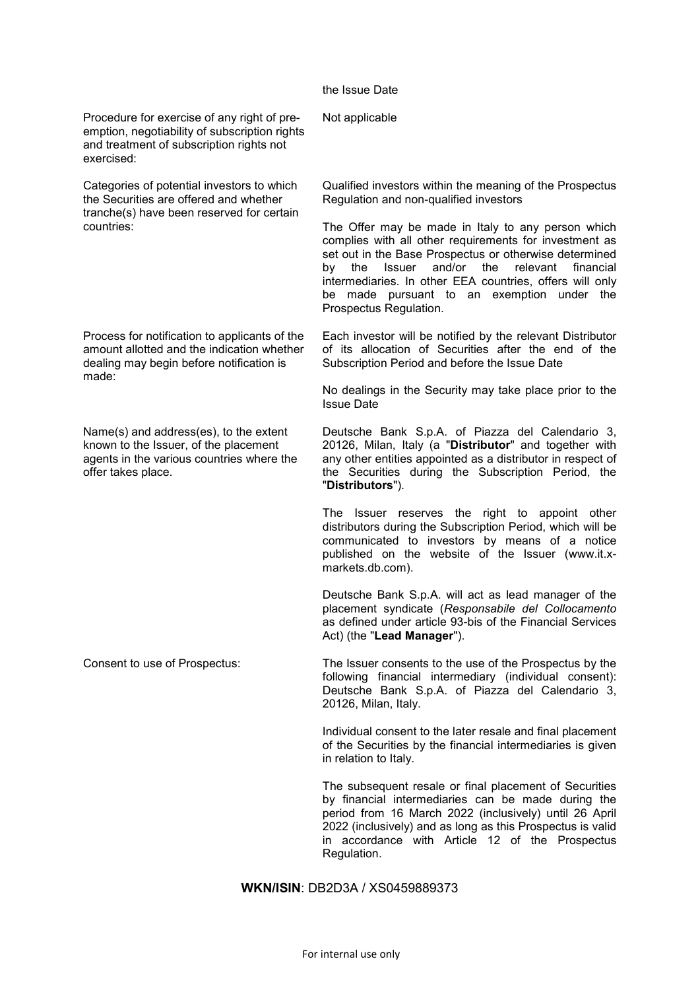### the Issue Date

Not applicable

Procedure for exercise of any right of preemption, negotiability of subscription rights and treatment of subscription rights not exercised:

Categories of potential investors to which the Securities are offered and whether tranche(s) have been reserved for certain countries:

Process for notification to applicants of the amount allotted and the indication whether dealing may begin before notification is made:

Name(s) and address(es), to the extent known to the Issuer, of the placement agents in the various countries where the offer takes place.

Qualified investors within the meaning of the Prospectus Regulation and non-qualified investors

The Offer may be made in Italy to any person which complies with all other requirements for investment as set out in the Base Prospectus or otherwise determined by the Issuer and/or the relevant financial intermediaries. In other EEA countries, offers will only be made pursuant to an exemption under the Prospectus Regulation.

Each investor will be notified by the relevant Distributor of its allocation of Securities after the end of the Subscription Period and before the Issue Date

No dealings in the Security may take place prior to the Issue Date

Deutsche Bank S.p.A. of Piazza del Calendario 3, 20126, Milan, Italy (a "**Distributor**" and together with any other entities appointed as a distributor in respect of the Securities during the Subscription Period, the "**Distributors**").

The Issuer reserves the right to appoint other distributors during the Subscription Period, which will be communicated to investors by means of a notice published on the website of the Issuer (www.it.xmarkets.db.com).

Deutsche Bank S.p.A. will act as lead manager of the placement syndicate (*Responsabile del Collocamento*  as defined under article 93-bis of the Financial Services Act) (the "**Lead Manager**").

Consent to use of Prospectus: The Issuer consents to the use of the Prospectus by the following financial intermediary (individual consent): Deutsche Bank S.p.A. of Piazza del Calendario 3, 20126, Milan, Italy.

> Individual consent to the later resale and final placement of the Securities by the financial intermediaries is given in relation to Italy.

> The subsequent resale or final placement of Securities by financial intermediaries can be made during the period from 16 March 2022 (inclusively) until 26 April 2022 (inclusively) and as long as this Prospectus is valid in accordance with Article 12 of the Prospectus Regulation.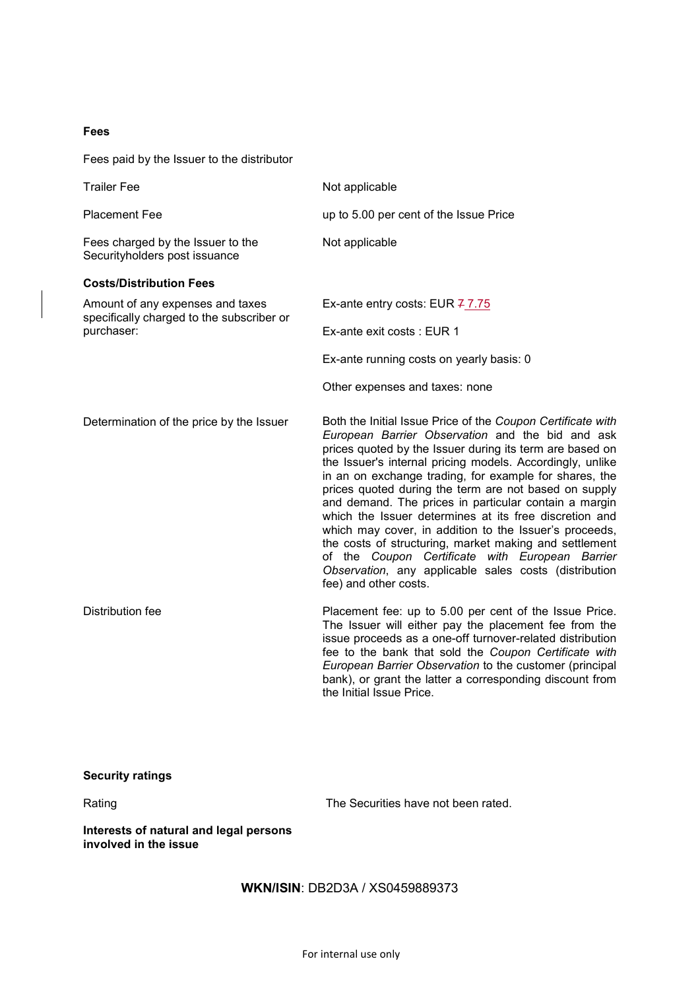## **Fees**

Fees paid by the Issuer to the distributor

| <b>Trailer Fee</b>                                                            | Not applicable                                                                                                                                                                                                                                                                                                                                                                                                                                                                                                                                                                                                                                                                                                                          |  |  |
|-------------------------------------------------------------------------------|-----------------------------------------------------------------------------------------------------------------------------------------------------------------------------------------------------------------------------------------------------------------------------------------------------------------------------------------------------------------------------------------------------------------------------------------------------------------------------------------------------------------------------------------------------------------------------------------------------------------------------------------------------------------------------------------------------------------------------------------|--|--|
| <b>Placement Fee</b>                                                          | up to 5.00 per cent of the Issue Price                                                                                                                                                                                                                                                                                                                                                                                                                                                                                                                                                                                                                                                                                                  |  |  |
| Fees charged by the Issuer to the<br>Securityholders post issuance            | Not applicable                                                                                                                                                                                                                                                                                                                                                                                                                                                                                                                                                                                                                                                                                                                          |  |  |
| <b>Costs/Distribution Fees</b>                                                |                                                                                                                                                                                                                                                                                                                                                                                                                                                                                                                                                                                                                                                                                                                                         |  |  |
| Amount of any expenses and taxes<br>specifically charged to the subscriber or | Ex-ante entry costs: EUR 77.75                                                                                                                                                                                                                                                                                                                                                                                                                                                                                                                                                                                                                                                                                                          |  |  |
| purchaser:                                                                    | Ex-ante exit costs: EUR 1                                                                                                                                                                                                                                                                                                                                                                                                                                                                                                                                                                                                                                                                                                               |  |  |
|                                                                               | Ex-ante running costs on yearly basis: 0                                                                                                                                                                                                                                                                                                                                                                                                                                                                                                                                                                                                                                                                                                |  |  |
|                                                                               | Other expenses and taxes: none                                                                                                                                                                                                                                                                                                                                                                                                                                                                                                                                                                                                                                                                                                          |  |  |
| Determination of the price by the Issuer                                      | Both the Initial Issue Price of the Coupon Certificate with<br>European Barrier Observation and the bid and ask<br>prices quoted by the Issuer during its term are based on<br>the Issuer's internal pricing models. Accordingly, unlike<br>in an on exchange trading, for example for shares, the<br>prices quoted during the term are not based on supply<br>and demand. The prices in particular contain a margin<br>which the Issuer determines at its free discretion and<br>which may cover, in addition to the Issuer's proceeds,<br>the costs of structuring, market making and settlement<br>of the Coupon Certificate with European Barrier<br>Observation, any applicable sales costs (distribution<br>fee) and other costs. |  |  |
| Distribution fee                                                              | Placement fee: up to 5.00 per cent of the Issue Price.<br>The Issuer will either pay the placement fee from the<br>issue proceeds as a one-off turnover-related distribution<br>fee to the bank that sold the Coupon Certificate with<br>European Barrier Observation to the customer (principal<br>bank), or grant the latter a corresponding discount from<br>the Initial Issue Price.                                                                                                                                                                                                                                                                                                                                                |  |  |

# **Security ratings**

Rating Rating Rating Rating Reserves The Securities have not been rated.

**Interests of natural and legal persons involved in the issue**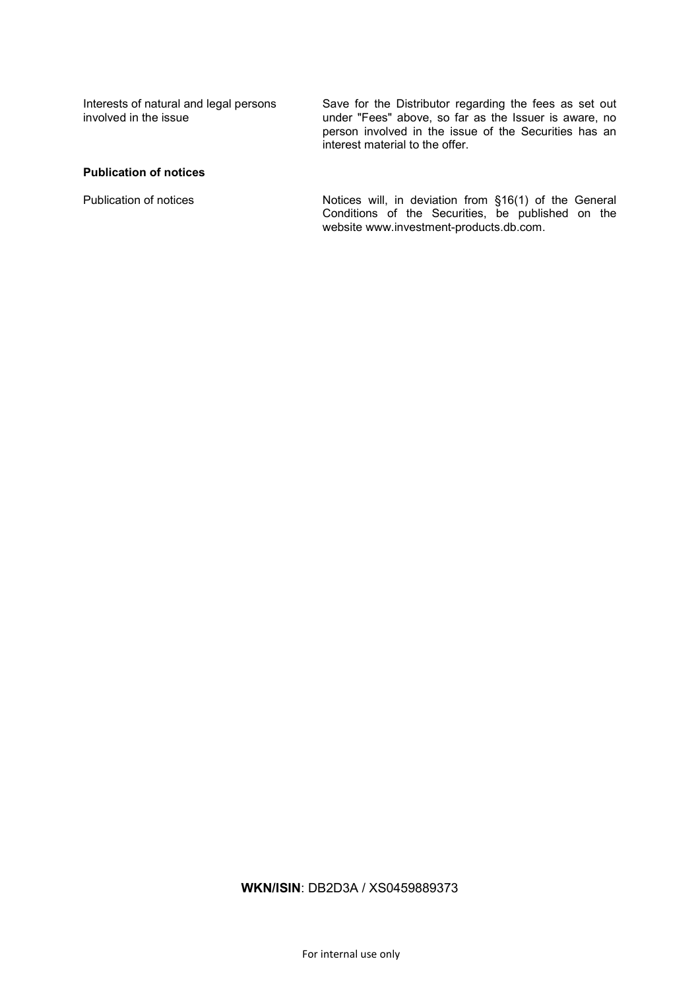Interests of natural and legal persons involved in the issue

Save for the Distributor regarding the fees as set out under "Fees" above, so far as the Issuer is aware, no person involved in the issue of the Securities has an interest material to the offer.

### **Publication of notices**

Publication of notices **Notices** Notices will, in deviation from §16(1) of the General Conditions of the Securities, be published on the website www.investment-products.db.com.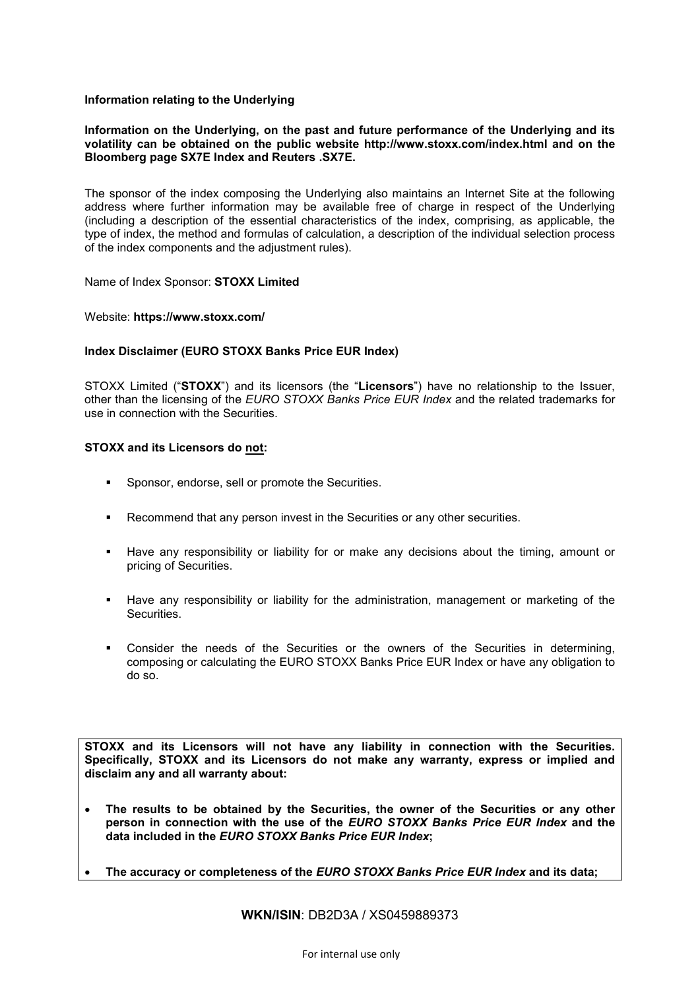## **Information relating to the Underlying**

## **Information on the Underlying, on the past and future performance of the Underlying and its volatility can be obtained on the public website http://www.stoxx.com/index.html and on the Bloomberg page SX7E Index and Reuters .SX7E.**

The sponsor of the index composing the Underlying also maintains an Internet Site at the following address where further information may be available free of charge in respect of the Underlying (including a description of the essential characteristics of the index, comprising, as applicable, the type of index, the method and formulas of calculation, a description of the individual selection process of the index components and the adjustment rules).

## Name of Index Sponsor: **STOXX Limited**

## Website: **https://www.stoxx.com/**

## **Index Disclaimer (EURO STOXX Banks Price EUR Index)**

STOXX Limited ("**STOXX**") and its licensors (the "**Licensors**") have no relationship to the Issuer, other than the licensing of the *EURO STOXX Banks Price EUR Index* and the related trademarks for use in connection with the Securities.

## **STOXX and its Licensors do not:**

- Sponsor, endorse, sell or promote the Securities.
- Recommend that any person invest in the Securities or any other securities.
- Have any responsibility or liability for or make any decisions about the timing, amount or pricing of Securities.
- Have any responsibility or liability for the administration, management or marketing of the **Securities**
- Consider the needs of the Securities or the owners of the Securities in determining, composing or calculating the EURO STOXX Banks Price EUR Index or have any obligation to do so.

**STOXX and its Licensors will not have any liability in connection with the Securities. Specifically, STOXX and its Licensors do not make any warranty, express or implied and disclaim any and all warranty about:**

- **The results to be obtained by the Securities, the owner of the Securities or any other person in connection with the use of the** *EURO STOXX Banks Price EUR Index* **and the data included in the** *EURO STOXX Banks Price EUR Index***;**
- **The accuracy or completeness of the** *EURO STOXX Banks Price EUR Index* **and its data;**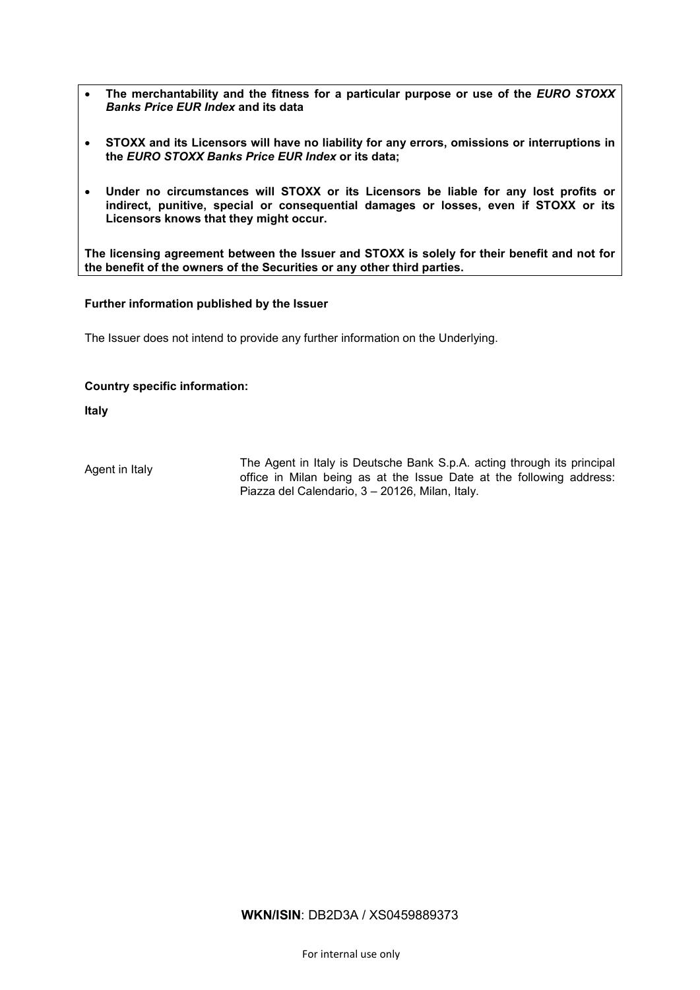- The merchantability and the fitness for a particular purpose or use of the *EURO STOXX Banks Price EUR Index* **and its data**
- **STOXX and its Licensors will have no liability for any errors, omissions or interruptions in the** *EURO STOXX Banks Price EUR Index* **or its data;**
- **Under no circumstances will STOXX or its Licensors be liable for any lost profits or indirect, punitive, special or consequential damages or losses, even if STOXX or its Licensors knows that they might occur.**

**The licensing agreement between the Issuer and STOXX is solely for their benefit and not for the benefit of the owners of the Securities or any other third parties.**

## **Further information published by the Issuer**

The Issuer does not intend to provide any further information on the Underlying.

## **Country specific information:**

**Italy**

Agent in Italy The Agent in Italy is Deutsche Bank S.p.A. acting through its principal office in Milan being as at the Issue Date at the following address: Piazza del Calendario, 3 – 20126, Milan, Italy.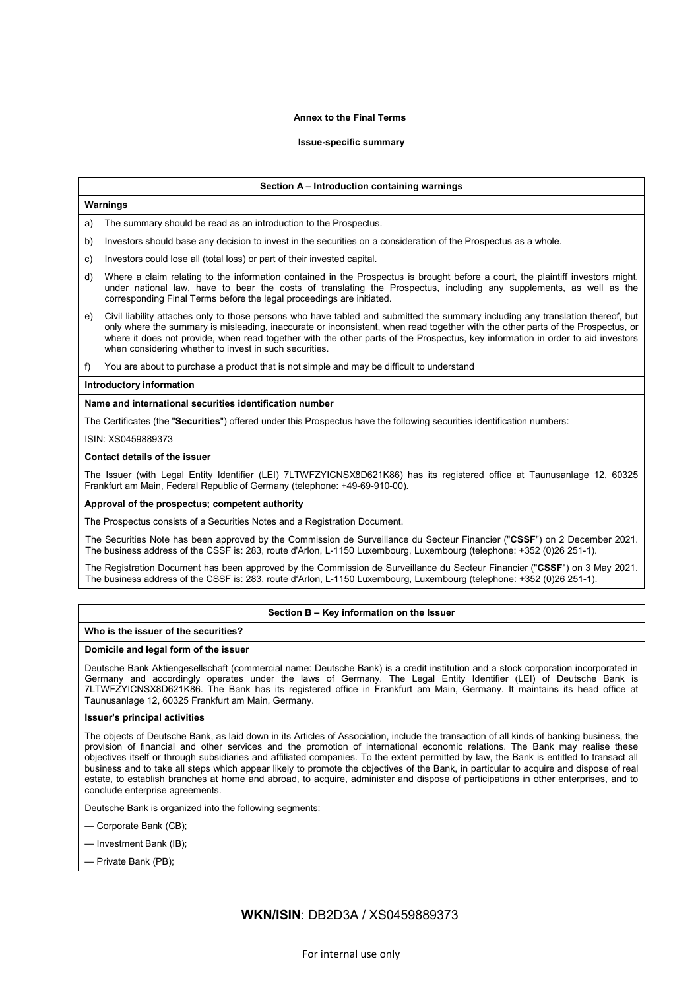#### **Annex to the Final Terms**

#### **Issue-specific summary**

#### **Section A – Introduction containing warnings**

#### **Warnings**

The summary should be read as an introduction to the Prospectus.

- b) Investors should base any decision to invest in the securities on a consideration of the Prospectus as a whole.
- c) Investors could lose all (total loss) or part of their invested capital.
- d) Where a claim relating to the information contained in the Prospectus is brought before a court, the plaintiff investors might, under national law, have to bear the costs of translating the Prospectus, including any supplements, as well as the corresponding Final Terms before the legal proceedings are initiated.
- e) Civil liability attaches only to those persons who have tabled and submitted the summary including any translation thereof, but only where the summary is misleading, inaccurate or inconsistent, when read together with the other parts of the Prospectus, or where it does not provide, when read together with the other parts of the Prospectus, key information in order to aid investors when considering whether to invest in such securities.
- f) You are about to purchase a product that is not simple and may be difficult to understand

#### **Introductory information**

#### **Name and international securities identification number**

The Certificates (the "**Securities**") offered under this Prospectus have the following securities identification numbers:

ISIN: XS0459889373

#### **Contact details of the issuer**

The Issuer (with Legal Entity Identifier (LEI) 7LTWFZYICNSX8D621K86) has its registered office at Taunusanlage 12, 60325 Frankfurt am Main, Federal Republic of Germany (telephone: +49-69-910-00).

#### **Approval of the prospectus; competent authority**

The Prospectus consists of a Securities Notes and a Registration Document.

The Securities Note has been approved by the Commission de Surveillance du Secteur Financier ("**CSSF**") on 2 December 2021. The business address of the CSSF is: 283, route d'Arlon, L-1150 Luxembourg, Luxembourg (telephone: +352 (0)26 251-1).

The Registration Document has been approved by the Commission de Surveillance du Secteur Financier ("**CSSF**") on 3 May 2021. The business address of the CSSF is: 283, route d'Arlon, L-1150 Luxembourg, Luxembourg (telephone: +352 (0)26 251-1).

#### **Section B – Key information on the Issuer**

#### **Who is the issuer of the securities?**

#### **Domicile and legal form of the issuer**

Deutsche Bank Aktiengesellschaft (commercial name: Deutsche Bank) is a credit institution and a stock corporation incorporated in Germany and accordingly operates under the laws of Germany. The Legal Entity Identifier (LEI) of Deutsche Bank is 7LTWFZYICNSX8D621K86. The Bank has its registered office in Frankfurt am Main, Germany. It maintains its head office at Taunusanlage 12, 60325 Frankfurt am Main, Germany.

#### **Issuer's principal activities**

The objects of Deutsche Bank, as laid down in its Articles of Association, include the transaction of all kinds of banking business, the provision of financial and other services and the promotion of international economic relations. The Bank may realise these objectives itself or through subsidiaries and affiliated companies. To the extent permitted by law, the Bank is entitled to transact all business and to take all steps which appear likely to promote the objectives of the Bank, in particular to acquire and dispose of real estate, to establish branches at home and abroad, to acquire, administer and dispose of participations in other enterprises, and to conclude enterprise agreements.

Deutsche Bank is organized into the following segments:

- Corporate Bank (CB);
- Investment Bank (IB);
- Private Bank (PB);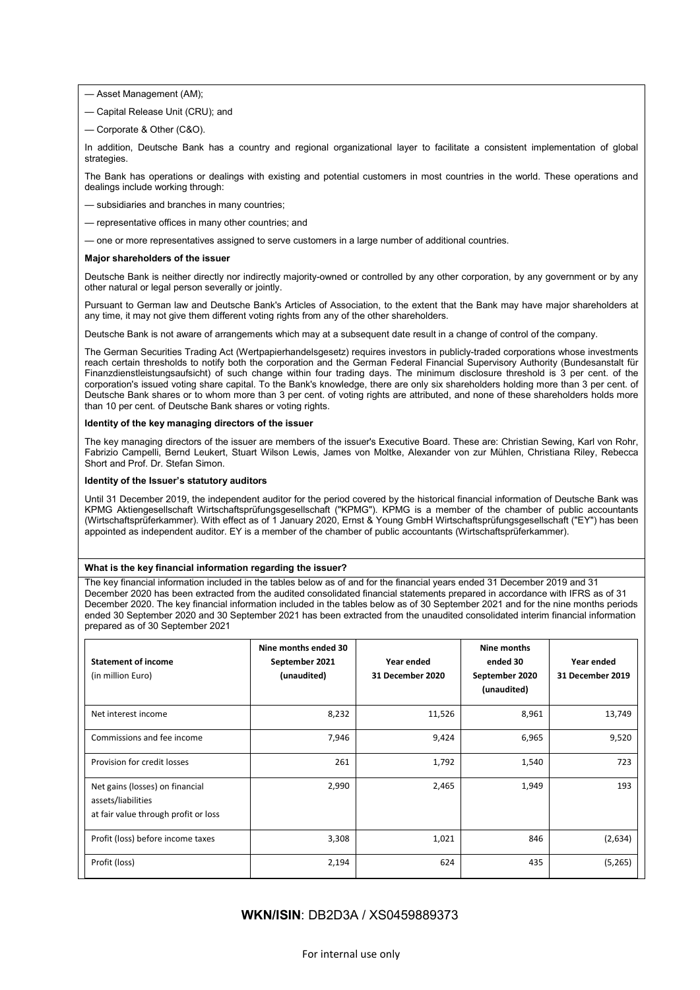- Asset Management (AM);
- Capital Release Unit (CRU); and
- Corporate & Other (C&O).

In addition, Deutsche Bank has a country and regional organizational layer to facilitate a consistent implementation of global strategies.

The Bank has operations or dealings with existing and potential customers in most countries in the world. These operations and dealings include working through:

- subsidiaries and branches in many countries;
- representative offices in many other countries; and
- one or more representatives assigned to serve customers in a large number of additional countries.

#### **Major shareholders of the issuer**

Deutsche Bank is neither directly nor indirectly majority-owned or controlled by any other corporation, by any government or by any other natural or legal person severally or jointly.

Pursuant to German law and Deutsche Bank's Articles of Association, to the extent that the Bank may have major shareholders at any time, it may not give them different voting rights from any of the other shareholders.

Deutsche Bank is not aware of arrangements which may at a subsequent date result in a change of control of the company.

The German Securities Trading Act (Wertpapierhandelsgesetz) requires investors in publicly-traded corporations whose investments reach certain thresholds to notify both the corporation and the German Federal Financial Supervisory Authority (Bundesanstalt für Finanzdienstleistungsaufsicht) of such change within four trading days. The minimum disclosure threshold is 3 per cent. of the corporation's issued voting share capital. To the Bank's knowledge, there are only six shareholders holding more than 3 per cent. of Deutsche Bank shares or to whom more than 3 per cent. of voting rights are attributed, and none of these shareholders holds more than 10 per cent. of Deutsche Bank shares or voting rights.

#### **Identity of the key managing directors of the issuer**

The key managing directors of the issuer are members of the issuer's Executive Board. These are: Christian Sewing, Karl von Rohr, Fabrizio Campelli, Bernd Leukert, Stuart Wilson Lewis, James von Moltke, Alexander von zur Mühlen, Christiana Riley, Rebecca Short and Prof. Dr. Stefan Simon.

#### **Identity of the Issuer's statutory auditors**

Until 31 December 2019, the independent auditor for the period covered by the historical financial information of Deutsche Bank was KPMG Aktiengesellschaft Wirtschaftsprüfungsgesellschaft ("KPMG"). KPMG is a member of the chamber of public accountants (Wirtschaftsprüferkammer). With effect as of 1 January 2020, Ernst & Young GmbH Wirtschaftsprüfungsgesellschaft ("EY") has been appointed as independent auditor. EY is a member of the chamber of public accountants (Wirtschaftsprüferkammer).

#### **What is the key financial information regarding the issuer?**

The key financial information included in the tables below as of and for the financial years ended 31 December 2019 and 31 December 2020 has been extracted from the audited consolidated financial statements prepared in accordance with IFRS as of 31 December 2020. The key financial information included in the tables below as of 30 September 2021 and for the nine months periods ended 30 September 2020 and 30 September 2021 has been extracted from the unaudited consolidated interim financial information prepared as of 30 September 2021

| <b>Statement of income</b><br>(in million Euro)                                               | Nine months ended 30<br>September 2021<br>(unaudited) | Year ended<br>31 December 2020 | Nine months<br>ended 30<br>September 2020<br>(unaudited) | Year ended<br>31 December 2019 |
|-----------------------------------------------------------------------------------------------|-------------------------------------------------------|--------------------------------|----------------------------------------------------------|--------------------------------|
| Net interest income                                                                           | 8,232                                                 | 11,526                         | 8,961                                                    | 13,749                         |
| Commissions and fee income                                                                    | 7,946                                                 | 9,424                          | 6,965                                                    | 9,520                          |
| Provision for credit losses                                                                   | 261                                                   | 1,792                          | 1,540                                                    | 723                            |
| Net gains (losses) on financial<br>assets/liabilities<br>at fair value through profit or loss | 2,990                                                 | 2,465                          | 1,949                                                    | 193                            |
| Profit (loss) before income taxes                                                             | 3,308                                                 | 1,021                          | 846                                                      | (2,634)                        |
| Profit (loss)                                                                                 | 2,194                                                 | 624                            | 435                                                      | (5,265)                        |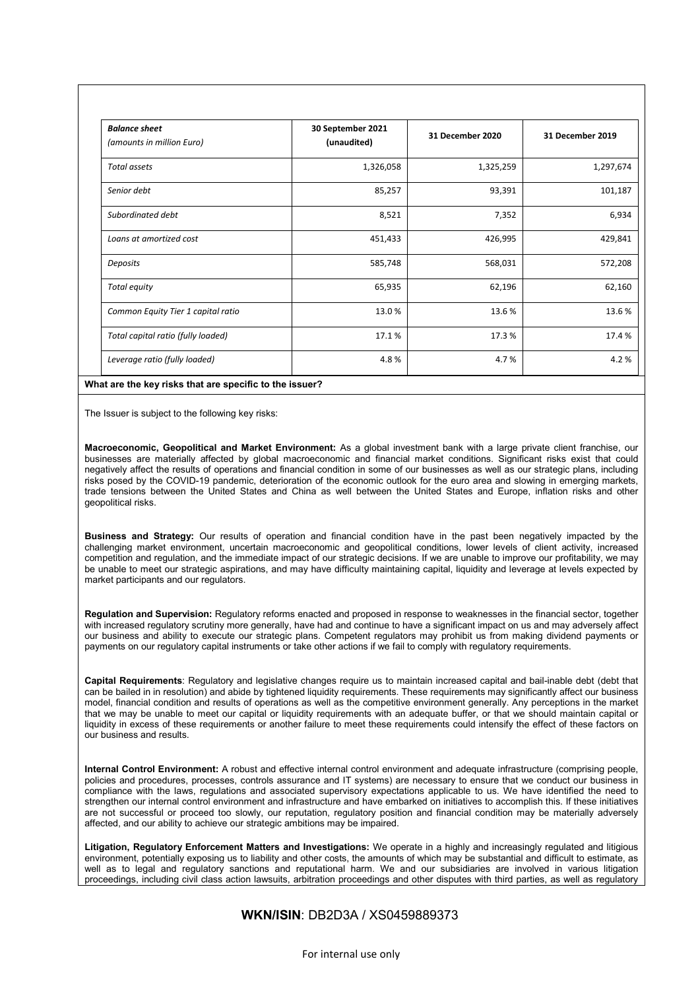| <b>Balance sheet</b><br>(amounts in million Euro) | 30 September 2021<br>(unaudited) | 31 December 2020 | 31 December 2019 |
|---------------------------------------------------|----------------------------------|------------------|------------------|
| Total assets                                      | 1,326,058                        | 1,325,259        | 1,297,674        |
| Senior debt                                       | 85,257                           | 93,391           | 101,187          |
| Subordinated debt                                 | 8,521                            | 7,352            | 6,934            |
| Loans at amortized cost                           | 451,433                          | 426,995          | 429,841          |
| Deposits                                          | 585,748                          | 568,031          | 572,208          |
| Total equity                                      | 65,935                           | 62,196           | 62,160           |
| Common Equity Tier 1 capital ratio                | 13.0%                            | 13.6%            | 13.6%            |
| Total capital ratio (fully loaded)                | 17.1%                            | 17.3%            | 17.4%            |
| Leverage ratio (fully loaded)                     | 4.8%                             | 4.7%             | 4.2%             |

The Issuer is subject to the following key risks:

**Macroeconomic, Geopolitical and Market Environment:** As a global investment bank with a large private client franchise, our businesses are materially affected by global macroeconomic and financial market conditions. Significant risks exist that could negatively affect the results of operations and financial condition in some of our businesses as well as our strategic plans, including risks posed by the COVID-19 pandemic, deterioration of the economic outlook for the euro area and slowing in emerging markets, trade tensions between the United States and China as well between the United States and Europe, inflation risks and other geopolitical risks.

**Business and Strategy:** Our results of operation and financial condition have in the past been negatively impacted by the challenging market environment, uncertain macroeconomic and geopolitical conditions, lower levels of client activity, increased competition and regulation, and the immediate impact of our strategic decisions. If we are unable to improve our profitability, we may be unable to meet our strategic aspirations, and may have difficulty maintaining capital, liquidity and leverage at levels expected by market participants and our regulators.

**Regulation and Supervision:** Regulatory reforms enacted and proposed in response to weaknesses in the financial sector, together with increased regulatory scrutiny more generally, have had and continue to have a significant impact on us and may adversely affect our business and ability to execute our strategic plans. Competent regulators may prohibit us from making dividend payments or payments on our regulatory capital instruments or take other actions if we fail to comply with regulatory requirements.

**Capital Requirements**: Regulatory and legislative changes require us to maintain increased capital and bail-inable debt (debt that can be bailed in in resolution) and abide by tightened liquidity requirements. These requirements may significantly affect our business model, financial condition and results of operations as well as the competitive environment generally. Any perceptions in the market that we may be unable to meet our capital or liquidity requirements with an adequate buffer, or that we should maintain capital or liquidity in excess of these requirements or another failure to meet these requirements could intensify the effect of these factors on our business and results.

**Internal Control Environment:** A robust and effective internal control environment and adequate infrastructure (comprising people, policies and procedures, processes, controls assurance and IT systems) are necessary to ensure that we conduct our business in compliance with the laws, regulations and associated supervisory expectations applicable to us. We have identified the need to strengthen our internal control environment and infrastructure and have embarked on initiatives to accomplish this. If these initiatives are not successful or proceed too slowly, our reputation, regulatory position and financial condition may be materially adversely affected, and our ability to achieve our strategic ambitions may be impaired.

**Litigation, Regulatory Enforcement Matters and Investigations:** We operate in a highly and increasingly regulated and litigious environment, potentially exposing us to liability and other costs, the amounts of which may be substantial and difficult to estimate, as well as to legal and regulatory sanctions and reputational harm. We and our subsidiaries are involved in various litigation proceedings, including civil class action lawsuits, arbitration proceedings and other disputes with third parties, as well as regulatory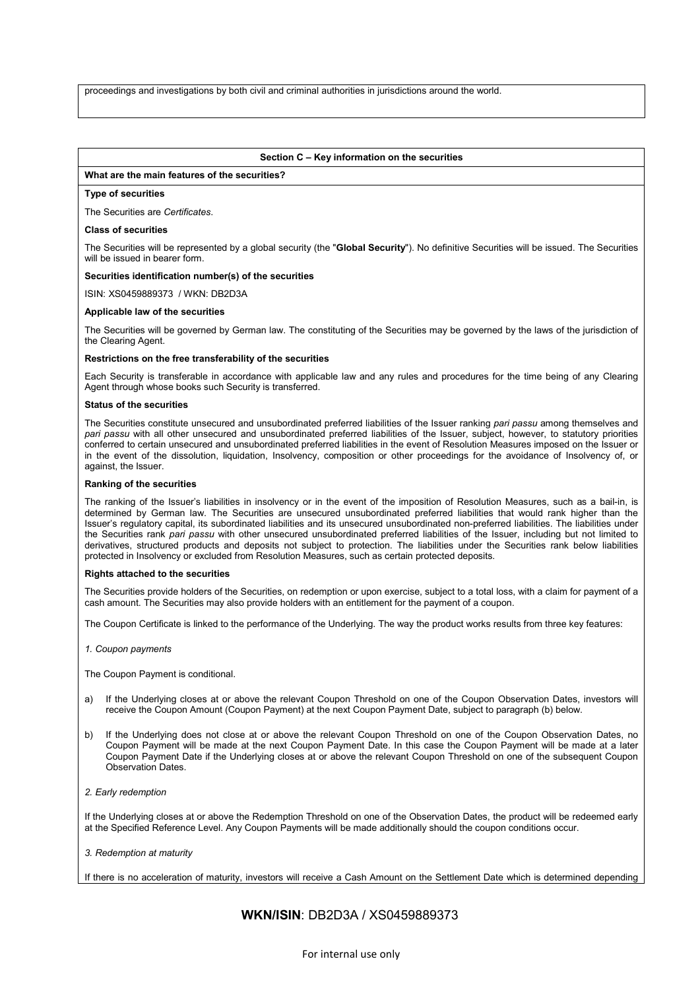proceedings and investigations by both civil and criminal authorities in jurisdictions around the world.

#### **Section C – Key information on the securities**

### **What are the main features of the securities?**

#### **Type of securities**

The Securities are *Certificates*.

#### **Class of securities**

The Securities will be represented by a global security (the "**Global Security**"). No definitive Securities will be issued. The Securities will be issued in bearer form.

#### **Securities identification number(s) of the securities**

ISIN: XS0459889373 / WKN: DB2D3A

#### **Applicable law of the securities**

The Securities will be governed by German law. The constituting of the Securities may be governed by the laws of the jurisdiction of the Clearing Agent.

#### **Restrictions on the free transferability of the securities**

Each Security is transferable in accordance with applicable law and any rules and procedures for the time being of any Clearing Agent through whose books such Security is transferred.

#### **Status of the securities**

The Securities constitute unsecured and unsubordinated preferred liabilities of the Issuer ranking *pari passu* among themselves and *pari passu* with all other unsecured and unsubordinated preferred liabilities of the Issuer, subject, however, to statutory priorities conferred to certain unsecured and unsubordinated preferred liabilities in the event of Resolution Measures imposed on the Issuer or in the event of the dissolution, liquidation, Insolvency, composition or other proceedings for the avoidance of Insolvency of, or against, the Issuer.

#### **Ranking of the securities**

The ranking of the Issuer's liabilities in insolvency or in the event of the imposition of Resolution Measures, such as a bail-in, is determined by German law. The Securities are unsecured unsubordinated preferred liabilities that would rank higher than the Issuer's regulatory capital, its subordinated liabilities and its unsecured unsubordinated non-preferred liabilities. The liabilities under the Securities rank *pari passu* with other unsecured unsubordinated preferred liabilities of the Issuer, including but not limited to derivatives, structured products and deposits not subject to protection. The liabilities under the Securities rank below liabilities protected in Insolvency or excluded from Resolution Measures, such as certain protected deposits.

#### **Rights attached to the securities**

The Securities provide holders of the Securities, on redemption or upon exercise, subject to a total loss, with a claim for payment of a cash amount. The Securities may also provide holders with an entitlement for the payment of a coupon.

The Coupon Certificate is linked to the performance of the Underlying. The way the product works results from three key features:

*1. Coupon payments* 

The Coupon Payment is conditional.

- a) If the Underlying closes at or above the relevant Coupon Threshold on one of the Coupon Observation Dates, investors will receive the Coupon Amount (Coupon Payment) at the next Coupon Payment Date, subject to paragraph (b) below.
- b) If the Underlying does not close at or above the relevant Coupon Threshold on one of the Coupon Observation Dates, no Coupon Payment will be made at the next Coupon Payment Date. In this case the Coupon Payment will be made at a later Coupon Payment Date if the Underlying closes at or above the relevant Coupon Threshold on one of the subsequent Coupon Observation Dates.
- *2. Early redemption*

If the Underlying closes at or above the Redemption Threshold on one of the Observation Dates, the product will be redeemed early at the Specified Reference Level. Any Coupon Payments will be made additionally should the coupon conditions occur.

*3. Redemption at maturity* 

If there is no acceleration of maturity, investors will receive a Cash Amount on the Settlement Date which is determined depending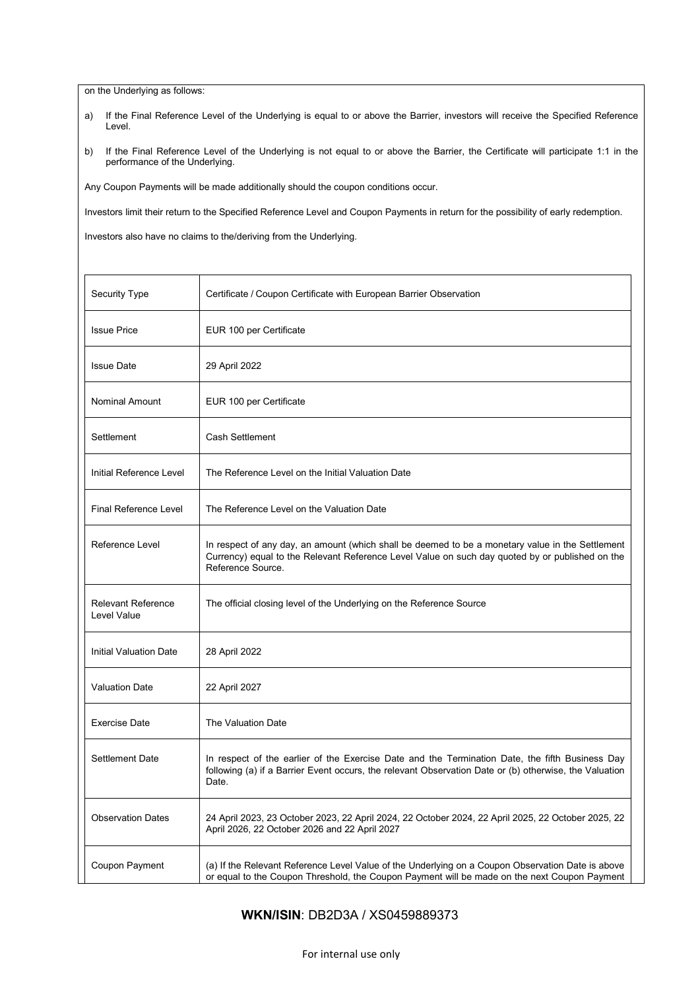on the Underlying as follows:

- a) If the Final Reference Level of the Underlying is equal to or above the Barrier, investors will receive the Specified Reference Level.
- b) If the Final Reference Level of the Underlying is not equal to or above the Barrier, the Certificate will participate 1:1 in the performance of the Underlying.

Any Coupon Payments will be made additionally should the coupon conditions occur.

Investors limit their return to the Specified Reference Level and Coupon Payments in return for the possibility of early redemption.

Investors also have no claims to the/deriving from the Underlying.

| Security Type                            | Certificate / Coupon Certificate with European Barrier Observation                                                                                                                                                       |
|------------------------------------------|--------------------------------------------------------------------------------------------------------------------------------------------------------------------------------------------------------------------------|
| <b>Issue Price</b>                       | EUR 100 per Certificate                                                                                                                                                                                                  |
| <b>Issue Date</b>                        | 29 April 2022                                                                                                                                                                                                            |
| Nominal Amount                           | EUR 100 per Certificate                                                                                                                                                                                                  |
| Settlement                               | Cash Settlement                                                                                                                                                                                                          |
| Initial Reference Level                  | The Reference Level on the Initial Valuation Date                                                                                                                                                                        |
| <b>Final Reference Level</b>             | The Reference Level on the Valuation Date                                                                                                                                                                                |
| Reference Level                          | In respect of any day, an amount (which shall be deemed to be a monetary value in the Settlement<br>Currency) equal to the Relevant Reference Level Value on such day quoted by or published on the<br>Reference Source. |
| <b>Relevant Reference</b><br>Level Value | The official closing level of the Underlying on the Reference Source                                                                                                                                                     |
| <b>Initial Valuation Date</b>            | 28 April 2022                                                                                                                                                                                                            |
| <b>Valuation Date</b>                    | 22 April 2027                                                                                                                                                                                                            |
| <b>Exercise Date</b>                     | The Valuation Date                                                                                                                                                                                                       |
| Settlement Date                          | In respect of the earlier of the Exercise Date and the Termination Date, the fifth Business Day<br>following (a) if a Barrier Event occurs, the relevant Observation Date or (b) otherwise, the Valuation<br>Date.       |
| <b>Observation Dates</b>                 | 24 April 2023, 23 October 2023, 22 April 2024, 22 October 2024, 22 April 2025, 22 October 2025, 22<br>April 2026, 22 October 2026 and 22 April 2027                                                                      |
| Coupon Payment                           | (a) If the Relevant Reference Level Value of the Underlying on a Coupon Observation Date is above<br>or equal to the Coupon Threshold, the Coupon Payment will be made on the next Coupon Payment                        |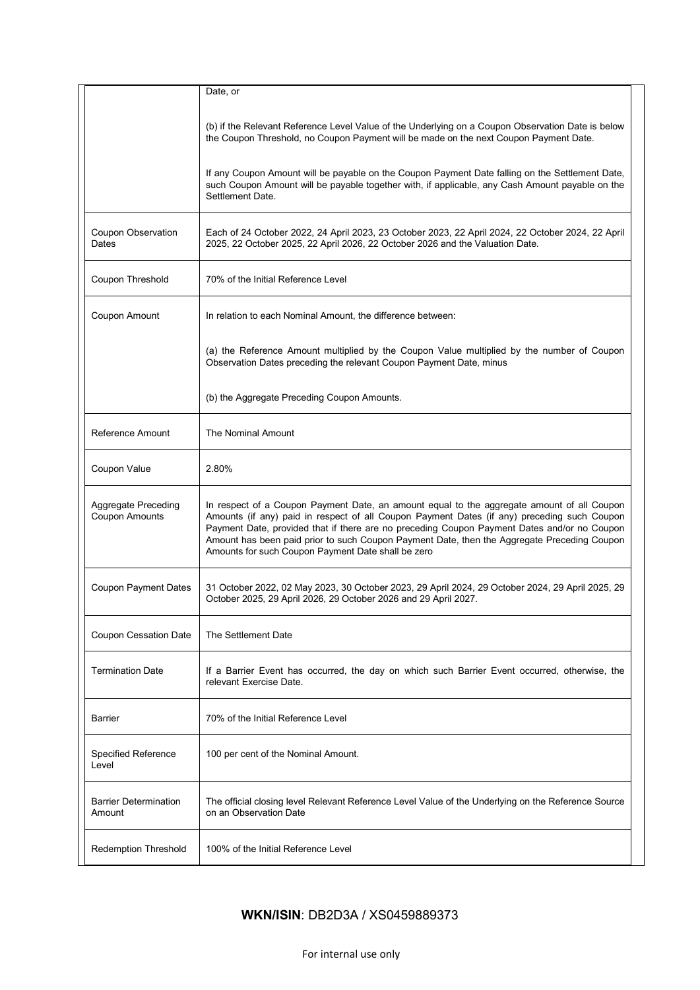|                                        | Date, or                                                                                                                                                                                                                                                                                                                                                                                                                                      |  |
|----------------------------------------|-----------------------------------------------------------------------------------------------------------------------------------------------------------------------------------------------------------------------------------------------------------------------------------------------------------------------------------------------------------------------------------------------------------------------------------------------|--|
|                                        | (b) if the Relevant Reference Level Value of the Underlying on a Coupon Observation Date is below<br>the Coupon Threshold, no Coupon Payment will be made on the next Coupon Payment Date.                                                                                                                                                                                                                                                    |  |
|                                        | If any Coupon Amount will be payable on the Coupon Payment Date falling on the Settlement Date,<br>such Coupon Amount will be payable together with, if applicable, any Cash Amount payable on the<br>Settlement Date.                                                                                                                                                                                                                        |  |
| Coupon Observation<br>Dates            | Each of 24 October 2022, 24 April 2023, 23 October 2023, 22 April 2024, 22 October 2024, 22 April<br>2025, 22 October 2025, 22 April 2026, 22 October 2026 and the Valuation Date.                                                                                                                                                                                                                                                            |  |
| Coupon Threshold                       | 70% of the Initial Reference Level                                                                                                                                                                                                                                                                                                                                                                                                            |  |
| Coupon Amount                          | In relation to each Nominal Amount, the difference between:                                                                                                                                                                                                                                                                                                                                                                                   |  |
|                                        | (a) the Reference Amount multiplied by the Coupon Value multiplied by the number of Coupon<br>Observation Dates preceding the relevant Coupon Payment Date, minus                                                                                                                                                                                                                                                                             |  |
|                                        | (b) the Aggregate Preceding Coupon Amounts.                                                                                                                                                                                                                                                                                                                                                                                                   |  |
| Reference Amount                       | The Nominal Amount                                                                                                                                                                                                                                                                                                                                                                                                                            |  |
| Coupon Value                           | 2.80%                                                                                                                                                                                                                                                                                                                                                                                                                                         |  |
| Aggregate Preceding<br>Coupon Amounts  | In respect of a Coupon Payment Date, an amount equal to the aggregate amount of all Coupon<br>Amounts (if any) paid in respect of all Coupon Payment Dates (if any) preceding such Coupon<br>Payment Date, provided that if there are no preceding Coupon Payment Dates and/or no Coupon<br>Amount has been paid prior to such Coupon Payment Date, then the Aggregate Preceding Coupon<br>Amounts for such Coupon Payment Date shall be zero |  |
| <b>Coupon Payment Dates</b>            | 31 October 2022, 02 May 2023, 30 October 2023, 29 April 2024, 29 October 2024, 29 April 2025, 29<br>October 2025, 29 April 2026, 29 October 2026 and 29 April 2027.                                                                                                                                                                                                                                                                           |  |
| Coupon Cessation Date                  | The Settlement Date                                                                                                                                                                                                                                                                                                                                                                                                                           |  |
| <b>Termination Date</b>                | If a Barrier Event has occurred, the day on which such Barrier Event occurred, otherwise, the<br>relevant Exercise Date.                                                                                                                                                                                                                                                                                                                      |  |
| <b>Barrier</b>                         | 70% of the Initial Reference Level                                                                                                                                                                                                                                                                                                                                                                                                            |  |
| <b>Specified Reference</b><br>Level    | 100 per cent of the Nominal Amount.                                                                                                                                                                                                                                                                                                                                                                                                           |  |
| <b>Barrier Determination</b><br>Amount | The official closing level Relevant Reference Level Value of the Underlying on the Reference Source<br>on an Observation Date                                                                                                                                                                                                                                                                                                                 |  |
| <b>Redemption Threshold</b>            | 100% of the Initial Reference Level                                                                                                                                                                                                                                                                                                                                                                                                           |  |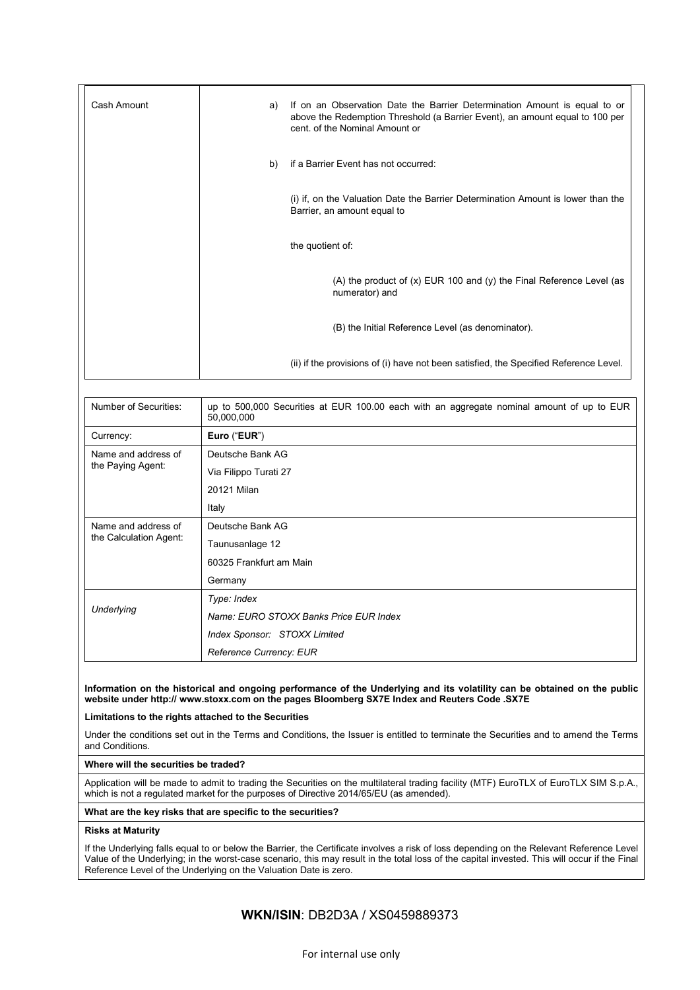| Cash Amount | a) | If on an Observation Date the Barrier Determination Amount is equal to or<br>above the Redemption Threshold (a Barrier Event), an amount equal to 100 per<br>cent. of the Nominal Amount or |
|-------------|----|---------------------------------------------------------------------------------------------------------------------------------------------------------------------------------------------|
|             | b) | if a Barrier Event has not occurred:                                                                                                                                                        |
|             |    | (i) if, on the Valuation Date the Barrier Determination Amount is lower than the<br>Barrier, an amount equal to                                                                             |
|             |    | the quotient of:                                                                                                                                                                            |
|             |    | (A) the product of $(x)$ EUR 100 and $(y)$ the Final Reference Level (as<br>numerator) and                                                                                                  |
|             |    | (B) the Initial Reference Level (as denominator).                                                                                                                                           |
|             |    | (ii) if the provisions of (i) have not been satisfied, the Specified Reference Level.                                                                                                       |

| Number of Securities:                         | up to 500,000 Securities at EUR 100.00 each with an aggregate nominal amount of up to EUR<br>50,000,000 |  |  |
|-----------------------------------------------|---------------------------------------------------------------------------------------------------------|--|--|
| Currency:                                     | Euro ("EUR")                                                                                            |  |  |
| Name and address of<br>the Paying Agent:      | Deutsche Bank AG                                                                                        |  |  |
|                                               | Via Filippo Turati 27                                                                                   |  |  |
|                                               | 20121 Milan                                                                                             |  |  |
|                                               | Italy                                                                                                   |  |  |
| Name and address of<br>the Calculation Agent: | Deutsche Bank AG                                                                                        |  |  |
|                                               | Taunusanlage 12                                                                                         |  |  |
|                                               | 60325 Frankfurt am Main                                                                                 |  |  |
|                                               | Germany                                                                                                 |  |  |
| Underlying                                    | Type: Index                                                                                             |  |  |
|                                               | Name: EURO STOXX Banks Price EUR Index                                                                  |  |  |
|                                               | Index Sponsor: STOXX Limited                                                                            |  |  |
|                                               | Reference Currency: EUR                                                                                 |  |  |

#### **Information on the historical and ongoing performance of the Underlying and its volatility can be obtained on the public website under http:// www.stoxx.com on the pages Bloomberg SX7E Index and Reuters Code .SX7E**

**Limitations to the rights attached to the Securities**

Under the conditions set out in the Terms and Conditions, the Issuer is entitled to terminate the Securities and to amend the Terms and Conditions.

#### **Where will the securities be traded?**

Application will be made to admit to trading the Securities on the multilateral trading facility (MTF) EuroTLX of EuroTLX SIM S.p.A., which is not a regulated market for the purposes of Directive 2014/65/EU (as amended).

### **What are the key risks that are specific to the securities?**

### **Risks at Maturity**

If the Underlying falls equal to or below the Barrier, the Certificate involves a risk of loss depending on the Relevant Reference Level Value of the Underlying; in the worst-case scenario, this may result in the total loss of the capital invested. This will occur if the Final Reference Level of the Underlying on the Valuation Date is zero.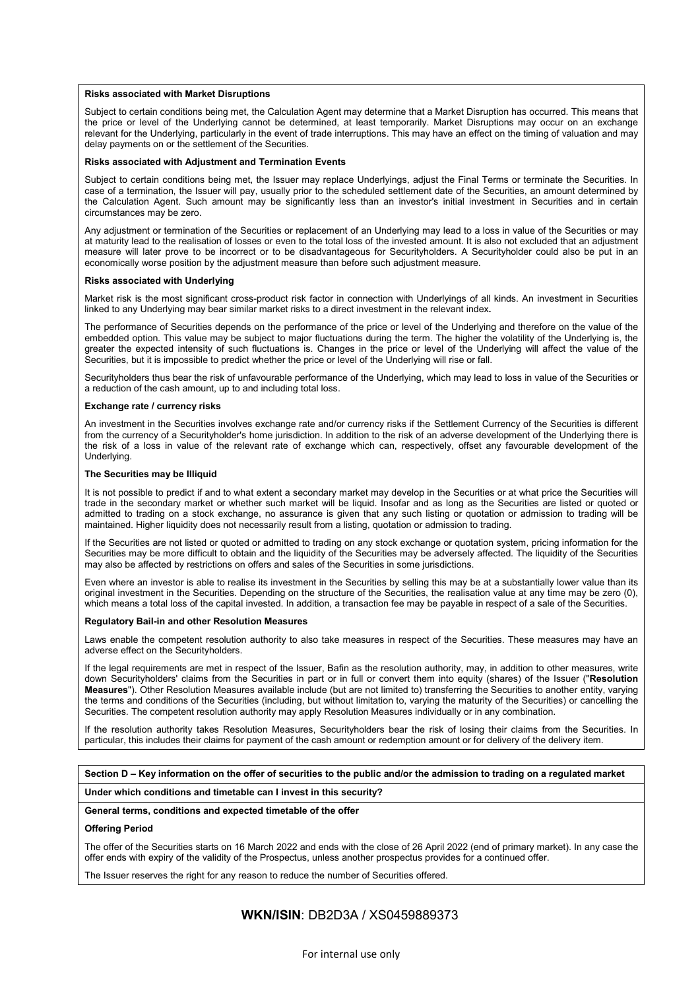#### **Risks associated with Market Disruptions**

Subject to certain conditions being met, the Calculation Agent may determine that a Market Disruption has occurred. This means that the price or level of the Underlying cannot be determined, at least temporarily. Market Disruptions may occur on an exchange relevant for the Underlying, particularly in the event of trade interruptions. This may have an effect on the timing of valuation and may delay payments on or the settlement of the Securities.

#### **Risks associated with Adjustment and Termination Events**

Subject to certain conditions being met, the Issuer may replace Underlyings, adjust the Final Terms or terminate the Securities. In case of a termination, the Issuer will pay, usually prior to the scheduled settlement date of the Securities, an amount determined by the Calculation Agent. Such amount may be significantly less than an investor's initial investment in Securities and in certain circumstances may be zero.

Any adjustment or termination of the Securities or replacement of an Underlying may lead to a loss in value of the Securities or may at maturity lead to the realisation of losses or even to the total loss of the invested amount. It is also not excluded that an adjustment measure will later prove to be incorrect or to be disadvantageous for Securityholders. A Securityholder could also be put in an economically worse position by the adjustment measure than before such adjustment measure.

#### **Risks associated with Underlying**

Market risk is the most significant cross-product risk factor in connection with Underlyings of all kinds. An investment in Securities linked to any Underlying may bear similar market risks to a direct investment in the relevant index**.**

The performance of Securities depends on the performance of the price or level of the Underlying and therefore on the value of the embedded option. This value may be subject to major fluctuations during the term. The higher the volatility of the Underlying is, the greater the expected intensity of such fluctuations is. Changes in the price or level of the Underlying will affect the value of the Securities, but it is impossible to predict whether the price or level of the Underlying will rise or fall.

Securityholders thus bear the risk of unfavourable performance of the Underlying, which may lead to loss in value of the Securities or a reduction of the cash amount, up to and including total loss.

#### **Exchange rate / currency risks**

An investment in the Securities involves exchange rate and/or currency risks if the Settlement Currency of the Securities is different from the currency of a Securityholder's home jurisdiction. In addition to the risk of an adverse development of the Underlying there is the risk of a loss in value of the relevant rate of exchange which can, respectively, offset any favourable development of the Underlying.

#### **The Securities may be Illiquid**

It is not possible to predict if and to what extent a secondary market may develop in the Securities or at what price the Securities will trade in the secondary market or whether such market will be liquid. Insofar and as long as the Securities are listed or quoted or admitted to trading on a stock exchange, no assurance is given that any such listing or quotation or admission to trading will be maintained. Higher liquidity does not necessarily result from a listing, quotation or admission to trading.

If the Securities are not listed or quoted or admitted to trading on any stock exchange or quotation system, pricing information for the Securities may be more difficult to obtain and the liquidity of the Securities may be adversely affected. The liquidity of the Securities may also be affected by restrictions on offers and sales of the Securities in some jurisdictions.

Even where an investor is able to realise its investment in the Securities by selling this may be at a substantially lower value than its original investment in the Securities. Depending on the structure of the Securities, the realisation value at any time may be zero (0), which means a total loss of the capital invested. In addition, a transaction fee may be payable in respect of a sale of the Securities.

#### **Regulatory Bail-in and other Resolution Measures**

Laws enable the competent resolution authority to also take measures in respect of the Securities. These measures may have an adverse effect on the Securityholders.

If the legal requirements are met in respect of the Issuer, Bafin as the resolution authority, may, in addition to other measures, write down Securityholders' claims from the Securities in part or in full or convert them into equity (shares) of the Issuer ("**Resolution Measures**"). Other Resolution Measures available include (but are not limited to) transferring the Securities to another entity, varying the terms and conditions of the Securities (including, but without limitation to, varying the maturity of the Securities) or cancelling the Securities. The competent resolution authority may apply Resolution Measures individually or in any combination.

If the resolution authority takes Resolution Measures, Securityholders bear the risk of losing their claims from the Securities. In particular, this includes their claims for payment of the cash amount or redemption amount or for delivery of the delivery item.

#### **Section D – Key information on the offer of securities to the public and/or the admission to trading on a regulated market**

#### **Under which conditions and timetable can I invest in this security?**

#### **General terms, conditions and expected timetable of the offer**

#### **Offering Period**

The offer of the Securities starts on 16 March 2022 and ends with the close of 26 April 2022 (end of primary market). In any case the offer ends with expiry of the validity of the Prospectus, unless another prospectus provides for a continued offer.

The Issuer reserves the right for any reason to reduce the number of Securities offered.